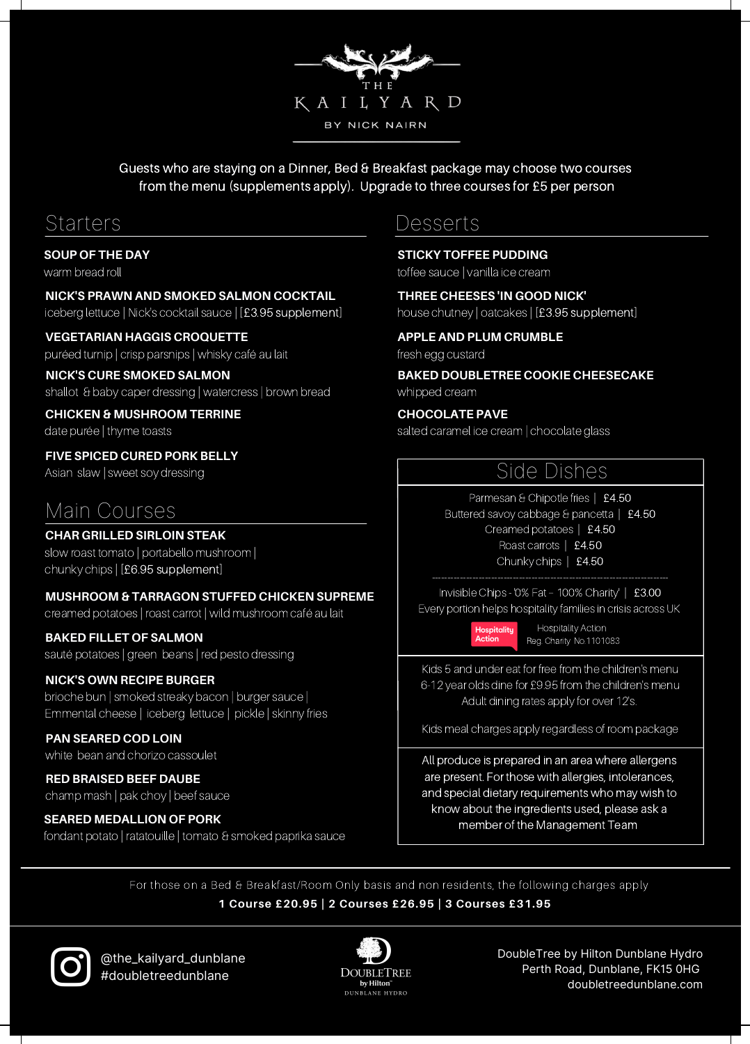Guests who are staying on a Dinner, Bed & Breakfast package may choose two courses from the menu (supplements apply). Upgrade to three courses for £5 per person

KAILYARD BY NICK NAIRN

#### **SOUP OF THE DAY**

warm bread roll

#### **NICK'S PRAWN AND SMOKED SALMON COCKTAIL**

iceberg lettuce | Nick's cocktail sauce | [£3.95 supplement]

#### **VEGETARIAN HAGGIS CROQUETTE**

puréed turnip | crisp parsnips | whisky café au lait

#### **NICK'S CURE SMOKED SALMON**

shallot & baby caper dressing | watercress | brown bread

#### **CHICKEN & MUSHROOM TERRINE** date purée | thyme toasts

**FIVE SPICED CURED PORK BELLY**

Asian slaw | sweet soy dressing

# Main Courses

#### **CHAR GRILLED SIRLOIN STEAK**

slow roast tomato | portabello mushroom | chunky chips | [£6.95 supplement]

#### **MUSHROOM & TARRAGON STUFFED CHICKEN SUPREME**

creamed potatoes | roast carrot | wild mushroom café au lait

#### **BAKED FILLET OF SALMON**

sauté potatoes | green beans | red pesto dressing

#### **NICK'S OWN RECIPE BURGER**

brioche bun | smoked streaky bacon | burger sauce | Emmental cheese | iceberg lettuce | pickle | skinny fries

#### **PAN SEARED COD LOIN** white bean and chorizo cassoulet

**RED BRAISED BEEF DAUBE** champ mash | pak choy | beef sauce

### **SEARED MEDALLION OF PORK**

fondant potato | ratatouille | tomato & smoked paprika sauce

## Starters Desserts

**STICKY TOFFEE PUDDING**

toffee sauce | vanilla ice cream

#### **THREE CHEESES 'IN GOOD NICK'** house chutney | oatcakes | [£3.95 supplement]

## **APPLE AND PLUM CRUMBLE**

fresh egg custard

#### **BAKED DOUBLETREE COOKIE CHEESECAKE** whipped cream

#### **CHOCOLATE PAVE**

salted caramel ice cream | chocolate glass

# Side Dishes

Parmesan & Chipotle fries | £4.50 Buttered savoy cabbage & pancetta | £4.50 Creamed potatoes | £4.50

Roast carrots | £4.50

### Chunky chips | £4.50

Invisible Chips -'0% Fat – 100% Charity' | £3.00 Every portion helps hospitality families in crisis across UK

> **Hospitality** Hospitality Action Reg. Charity No.1101083

Kids 5 and under eat for free from the children's menu 6-12 year olds dine for £9.95 from the children's menu

Adult dining rates apply for over 12's.

Kids meal charges apply regardless of room package

All produce is prepared in an area where allergens are present. For those with allergies, intolerances, and special dietary requirements who may wish to know about the ingredients used, please ask a member of the Management Team

For those on a Bed & Breakfast/Room Only basis and non residents, the following charges apply

#### **1 Course £20.95 | 2 Courses £26.95 | 3 Courses £31.95**

@the\_kailyard\_dunblane #doubletreedunblane



DoubleTree by Hilton Dunblane Hydro Perth Road, Dunblane, FK15 0HG doubletreedunblane.com